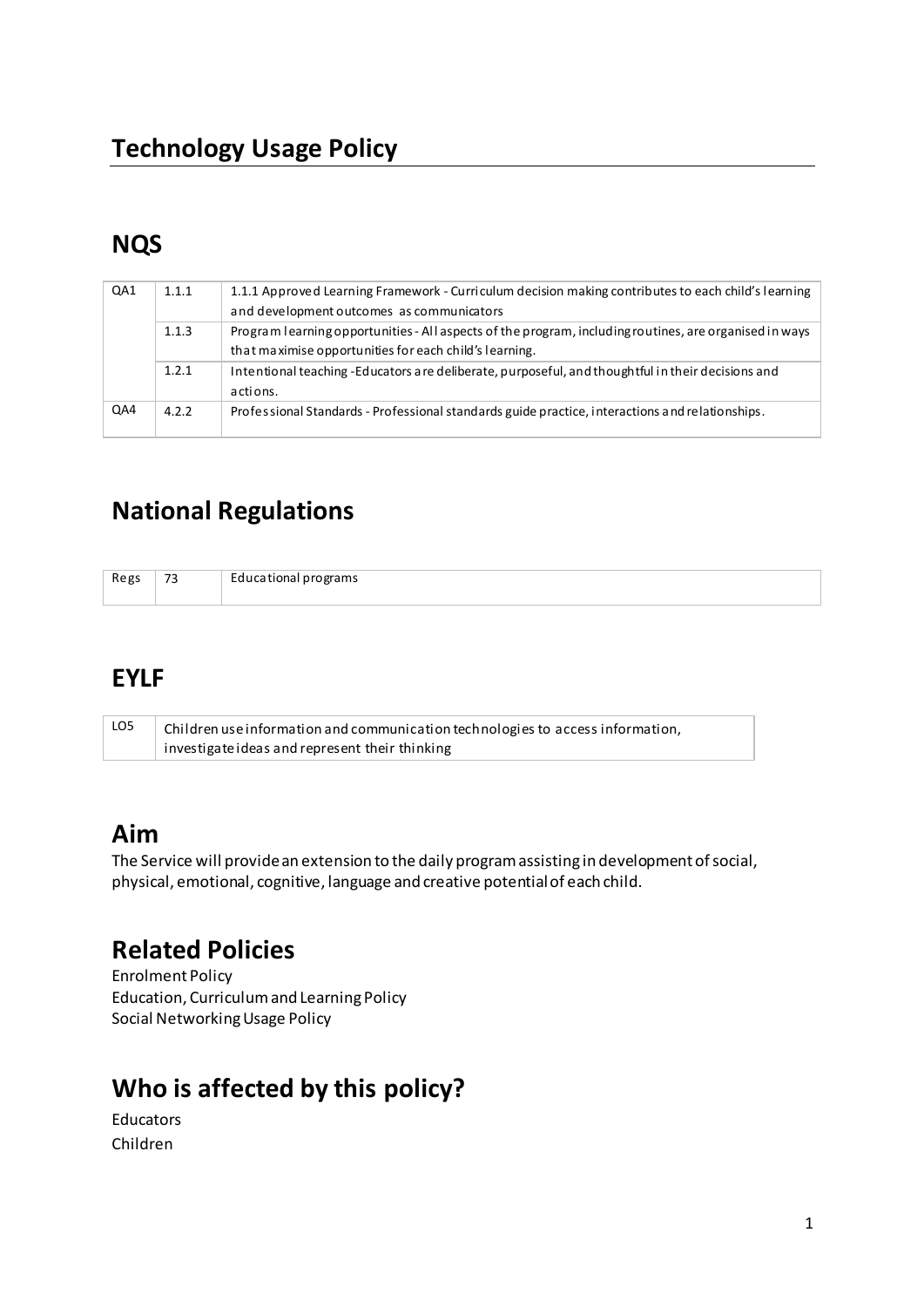# **NQS**

| QA1 | 1.1.1 | 1.1.1 Approved Learning Framework - Curriculum decision making contributes to each child's learning<br>and development outcomes as communicators                 |
|-----|-------|------------------------------------------------------------------------------------------------------------------------------------------------------------------|
|     | 1.1.3 | Program learning opportunities - All aspects of the program, including routines, are organised in ways<br>that maximise opportunities for each child's learning. |
|     | 1.2.1 | Intentional teaching -Educators are deliberate, purposeful, and thoughtful in their decisions and<br>actions.                                                    |
| QA4 | 4.2.2 | Professional Standards - Professional standards guide practice, interactions and relationships.                                                                  |

# **National Regulations**

| Regs | $\overline{\phantom{a}}$<br>ر ِ | -<br>Educational programs |
|------|---------------------------------|---------------------------|
|      |                                 |                           |

#### **EYLF**

| LO5 | Children use information and communication technologies to access information, |
|-----|--------------------------------------------------------------------------------|
|     | investigate ideas and represent their thinking                                 |

# Aim

The Service will provide an extension to the daily program assisting in development of social, physical, emotional, cognitive, language and creative potential of each child.

# **Related Policies**

**Enrolment Policy** Education, Curriculum and Learning Policy Social Networking Usage Policy

# Who is affected by this policy?

```
Educators
Children
```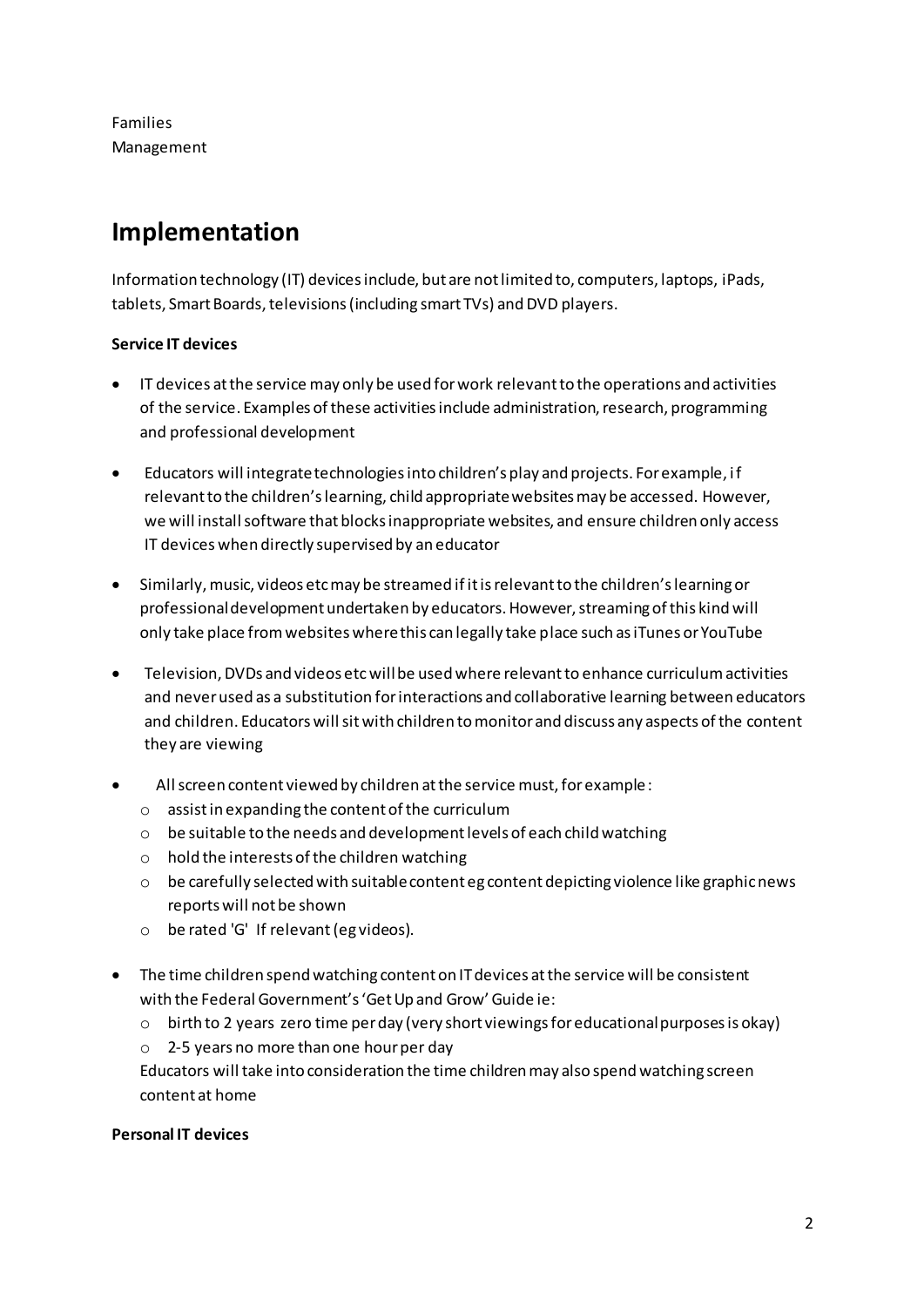**Families** Management

# Implementation

Information technology (IT) devices include, but are not limited to, computers, laptops, iPads, tablets, Smart Boards, televisions (including smart TVs) and DVD players.

#### **Service IT devices**

- IT devices at the service may only be used for work relevant to the operations and activities of the service. Examples of these activities include administration, research, programming and professional development
- Educators will integrate technologies into children's play and projects. For example, if relevant to the children's learning, child appropriate websites may be accessed. However, we will install software that blocks inappropriate websites, and ensure children only access IT devices when directly supervised by an educator
- Similarly, music, videos etc may be streamed if it is relevant to the children's learning or  $\bullet$ professional development undertaken by educators. However, streaming of this kind will only take place from websites where this can legally take place such as iTunes or YouTube
- $\bullet$ Television, DVDs and videos etc will be used where relevant to enhance curriculum activities and never used as a substitution for interactions and collaborative learning between educators and children. Educators will sit with children to monitor and discuss any aspects of the content they are viewing
- All screen content viewed by children at the service must, for example :
	- $\circ$  assist in expanding the content of the curriculum
	- o be suitable to the needs and development levels of each child watching
	- $\circ$  hold the interests of the children watching
	- $\circ$  be carefully selected with suitable content eg content depicting violence like graphic news reports will not be shown
	- o be rated 'G' If relevant (eg videos).
- The time children spend watching content on IT devices at the service will be consistent with the Federal Government's 'Get Up and Grow' Guide ie:
	- $\circ$  birth to 2 years zero time per day (very short viewings for educational purposes is okay)
	- $\circ$  2-5 years no more than one hour per day

Educators will take into consideration the time children may also spend watching screen content at home

#### **Personal IT devices**